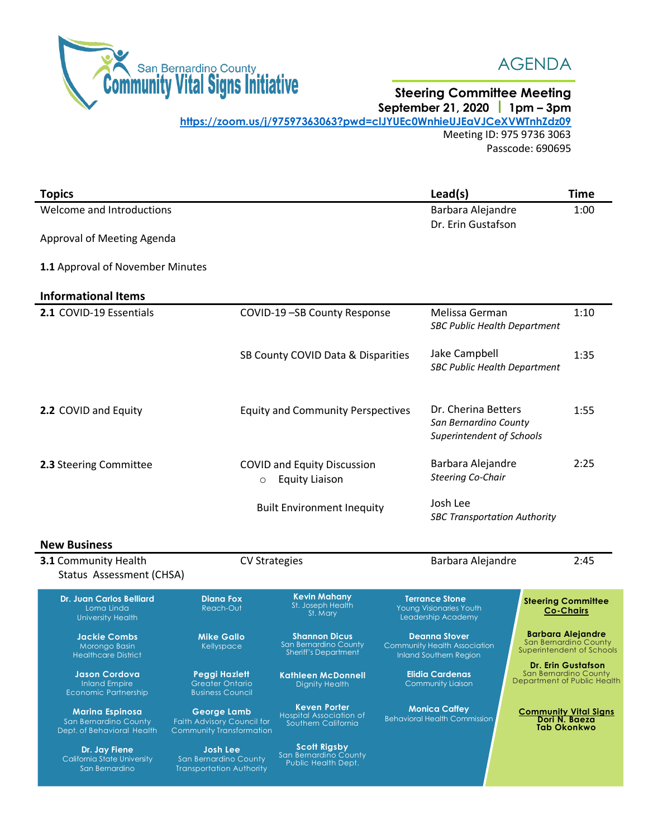

## AGENDA

## **Steering Committee Meeting September 21, 2020 1pm – 3pm**

**<https://zoom.us/j/97597363063?pwd=clJYUEc0WnhieUJEaVJCeXVWTnhZdz09>** Meeting ID: 975 9736 3063 Passcode: 690695

| <b>Topics</b>                                                                 |                                                                              |                                                                                                  |                                                                                 | Lead(s)                                                                                             |                                                                     | <b>Time</b>                                                                    |
|-------------------------------------------------------------------------------|------------------------------------------------------------------------------|--------------------------------------------------------------------------------------------------|---------------------------------------------------------------------------------|-----------------------------------------------------------------------------------------------------|---------------------------------------------------------------------|--------------------------------------------------------------------------------|
| Welcome and Introductions                                                     |                                                                              |                                                                                                  | Barbara Alejandre                                                               |                                                                                                     | 1:00                                                                |                                                                                |
| Approval of Meeting Agenda                                                    |                                                                              |                                                                                                  |                                                                                 | Dr. Erin Gustafson                                                                                  |                                                                     |                                                                                |
|                                                                               |                                                                              |                                                                                                  |                                                                                 |                                                                                                     |                                                                     |                                                                                |
| 1.1 Approval of November Minutes                                              |                                                                              |                                                                                                  |                                                                                 |                                                                                                     |                                                                     |                                                                                |
| <b>Informational Items</b>                                                    |                                                                              |                                                                                                  |                                                                                 |                                                                                                     |                                                                     |                                                                                |
| 2.1 COVID-19 Essentials                                                       |                                                                              | COVID-19-SB County Response                                                                      |                                                                                 | Melissa German<br><b>SBC Public Health Department</b>                                               |                                                                     | 1:10                                                                           |
|                                                                               |                                                                              | SB County COVID Data & Disparities                                                               |                                                                                 | Jake Campbell<br><b>SBC Public Health Department</b>                                                |                                                                     | 1:35                                                                           |
| 2.2 COVID and Equity                                                          |                                                                              | <b>Equity and Community Perspectives</b>                                                         |                                                                                 | Dr. Cherina Betters<br>San Bernardino County<br>Superintendent of Schools                           |                                                                     | 1:55                                                                           |
| 2.3 Steering Committee                                                        | $\circ$                                                                      | <b>COVID and Equity Discussion</b><br><b>Equity Liaison</b><br><b>Built Environment Inequity</b> |                                                                                 | Barbara Alejandre<br><b>Steering Co-Chair</b>                                                       |                                                                     | 2:25                                                                           |
|                                                                               |                                                                              |                                                                                                  |                                                                                 | Josh Lee<br><b>SBC Transportation Authority</b>                                                     |                                                                     |                                                                                |
| <b>New Business</b>                                                           |                                                                              |                                                                                                  |                                                                                 |                                                                                                     |                                                                     |                                                                                |
| <b>3.1 Community Health</b>                                                   |                                                                              | Barbara Alejandre<br><b>CV Strategies</b>                                                        |                                                                                 | 2:45                                                                                                |                                                                     |                                                                                |
| Status Assessment (CHSA)                                                      |                                                                              |                                                                                                  |                                                                                 |                                                                                                     |                                                                     |                                                                                |
| <b>Dr. Juan Carlos Belliard</b><br>Loma Linda<br><b>University Health</b>     | Diana Fox<br>Reach-Out                                                       | <b>Kevin Mahany</b><br>St. Joseph Health<br>St. Mary                                             |                                                                                 | <b>Terrance Stone</b><br><b>Steering Committee</b><br>Young Visionaries Youth<br>Leadership Academy |                                                                     | <b>Co-Chairs</b>                                                               |
| Jackie Combs<br>Morongo Basin<br><b>Healthcare District</b>                   | <b>Mike Gallo</b><br>Kellyspace                                              | <b>Shannon Dicus</b><br>San Bernardino County<br><b>Sheriff's Department</b>                     |                                                                                 | <b>Deanna Stover</b><br>Community Health Association<br>Inland Southern Region                      |                                                                     | <b>Barbara Alejandre</b><br>San Bernardino County<br>Superintendent of Schools |
| <b>Jason Cordova</b><br><b>Inland Empire</b><br><b>Economic Partnership</b>   | Peggi Hazlett<br><b>Greater Ontario</b><br><b>Business Council</b>           | <b>Kathleen McDonnell</b><br>Dignity Health                                                      | <b>Dr. Erin Gustafson</b><br><b>Elidia Cardenas</b><br><b>Community Liaison</b> |                                                                                                     | San Bernardino County<br>Department of Public Health                |                                                                                |
| <b>Marina Espinosa</b><br>San Bernardino County<br>Dept. of Behavioral Health | <b>George Lamb</b><br>Faith Advisory Council for<br>Community Transformation | <b>Keven Porter</b><br>Hospital Association of<br>Southern California                            | <b>Monica Caffey</b><br><b>Behavioral Health Commission</b>                     |                                                                                                     | <b>Community Vital Signs</b><br>Dori N. Baeza<br><b>Tab Okonkwo</b> |                                                                                |
| Dr. Jay Fiene<br><b>California State University</b><br>San Bernardino         | <b>Josh Lee</b><br>San Bernardino County<br><b>Transportation Authority</b>  | <b>Scott Rigsby</b><br>San Bernardino County<br>Public Health Dept.                              |                                                                                 |                                                                                                     |                                                                     |                                                                                |